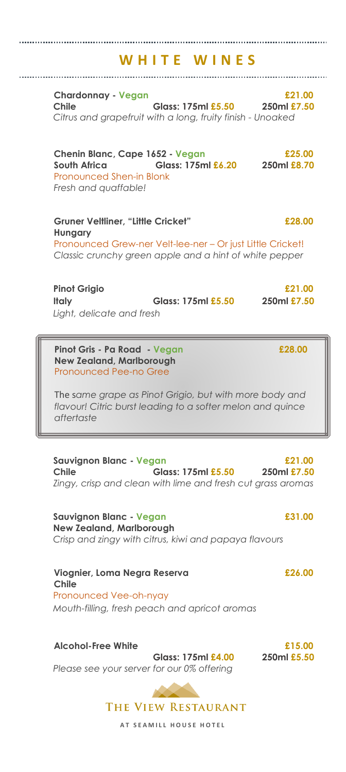# **W H I T E W I N E S**

**Chardonnay - Vegan £21.00 Chile Glass: 175ml £5.50 250ml £7.50** *Citrus and grapefruit with a long, fruity finish - Unoaked*

**Chenin Blanc, Cape 1652 - Vegan £25.00 South Africa Glass: 175ml £6.20 250ml £8.70** Pronounced Shen-in Blonk *Fresh and quaffable!*

**Gruner Veltliner, "Little Cricket" £28.00 Hungary** Pronounced Grew-ner Velt-lee-ner – Or just Little Cricket! *Classic crunchy green apple and a hint of white pepper*

**Pinot Grigio £21.00 Italy Glass: 175ml £5.50 250ml £7.50** *Light, delicate and fresh*

**Pinot Gris - Pa Road - Vegan £28.00 New Zealand, Marlborough** Pronounced Pee-no Gree

The s*ame grape as Pinot Grigio, but with more body and flavour! Citric burst leading to a softer melon and quince aftertaste*

**Sauvignon Blanc - Vegan £21.00 Chile Glass: 175ml £5.50 250ml £7.50** *Zingy, crisp and clean with lime and fresh cut grass aromas*

**Sauvignon Blanc - Vegan £31.00 New Zealand, Marlborough** *Crisp and zingy with citrus, kiwi and papaya flavours*

**Viognier, Loma Negra Reserva £26.00 Chile** Pronounced Vee-oh-nyay *Mouth-filling, fresh peach and apricot aromas*

#### **Alcohol-Free White £15.00**

**Glass: 175ml £4.00 250ml £5.50** *Please see your server for our 0% offering*



THE VIEW RESTAURANT

**AT SEAMILL HOUSE HOTEL**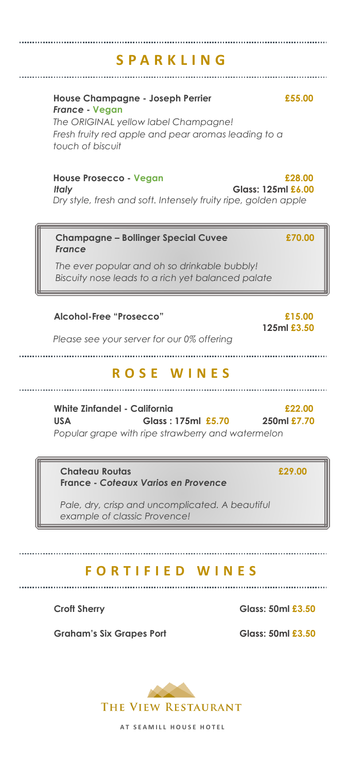# **S P A R K L I N G**

### **House Champagne - Joseph Perrier £55.00** *France* **- Vegan**

*The ORIGINAL yellow label Champagne! Fresh fruity red apple and pear aromas leading to a touch of biscuit*

# **House Prosecco - Vegan £28.00**

*Italy* **Glass: 125ml £6.00**

*Dry style, fresh and soft. Intensely fruity ripe, golden apple*

## **Champagne – Bollinger Special Cuvee £70.00** *France*

*The ever popular and oh so drinkable bubbly! Biscuity nose leads to a rich yet balanced palate*

## **Alcohol-Free "Prosecco" £15.00**

 **125ml £3.50**

*Please see your server for our 0% offering*

# **R O S E W I N E S**

**White Zinfandel - California £22.00 USA Glass : 175ml £5.70 250ml £7.70** *Popular grape with ripe strawberry and watermelon*

**Chateau Routas £29.00 France -** *Coteaux Varios en Provence*

*Pale, dry, crisp and uncomplicated. A beautiful example of classic Provence!*

# **F O R T I F I E D W I N E S**

..........................

Graham's Six Grapes Port **Glass: 50ml £3.50** 

Croft Sherry Glass: 50ml **£3.50** 



**AT SEAMILL HOUSE HOTEL**